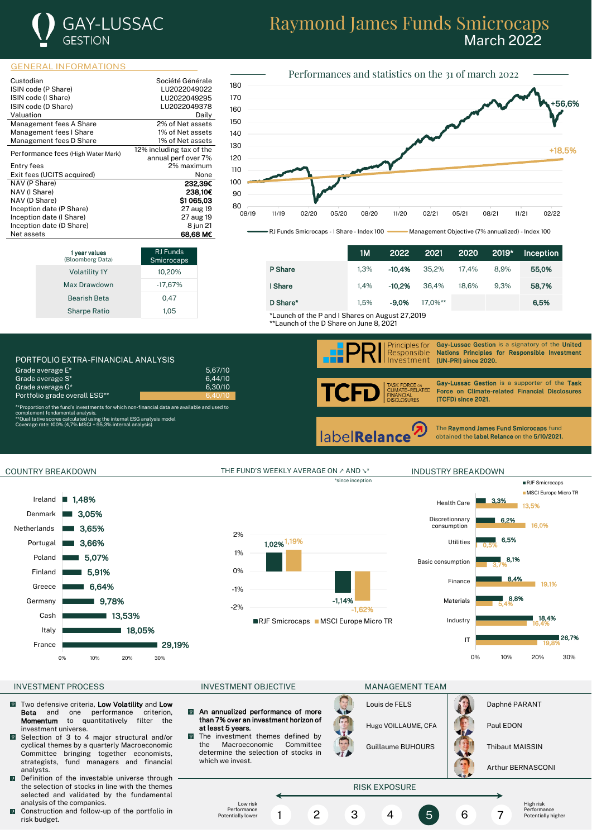

# Raymond James Funds Smicrocaps March 2022

### GENERAL INFORMATIONS

| Custodian                          | Société Générale         |
|------------------------------------|--------------------------|
| ISIN code (P Share)                | LU2022049022             |
| ISIN code (I Share)                | LU2022049295             |
| ISIN code (D Share)                | LU2022049378             |
| Valuation                          | Daily                    |
| Management fees A Share            | 2% of Net assets         |
| Management fees I Share            | 1% of Net assets         |
| Management fees D Share            | 1% of Net assets         |
| Performance fees (High Water Mark) | 12% including tax of the |
|                                    | annual perf over 7%      |
| Entry fees                         | 2% maximum               |
| Exit fees (UCITS acquired)         | None                     |
| NAV (P Share)                      | 232,39€                  |
| NAV (I Share)                      | 238.10€                  |
| NAV (D Share)                      | \$1065.03                |
| Inception date (P Share)           | 27 aug 19                |
| Inception date (I Share)           | 27 aug 19                |
| Inception date (D Share)           | 8 jun 21                 |
| Net assets                         | 68.68 M€                 |



RJ Funds Smicrocaps - I Share - Index 100 Management Objective (7% annualized) - Index 100

|                                                 | 1M   | 2022     | 2021       | 2020  | 2019* | <b>Inception</b> |
|-------------------------------------------------|------|----------|------------|-------|-------|------------------|
| P Share                                         | 1.3% | $-10.4%$ | 35.2%      | 17.4% | 8.9%  | 55,0%            |
| I Share                                         | 1.4% | $-10.2%$ | 36.4%      | 18.6% | 9.3%  | 58,7%            |
| D Share*                                        | 1.5% | $-9.0%$  | $17.0\%**$ |       |       | 6.5%             |
| *Launch of the P and I Shares on August 27,2019 |      |          |            |       |       |                  |

l

\*\*Launch of the D Share on June 8, 2021

| PORTEOLIO EXTRA-FINANCIAL ANALYSIS |         |
|------------------------------------|---------|
| Grade average E*                   | 5.67/10 |
| Grade average S*                   | 6.44/10 |
| Grade average G <sup>*</sup>       | 6.30/10 |
| Portfolio grade overall ESG**      | 6.40/10 |

Volatility 1Y 10,20% Max Drawdown -17,67% Bearish Beta 0,47 Sharpe Ratio 1,05

RJ Funds microcap

complement fondamental analysis.<br>\*\*Qualitative scores calculated using the internal ESG analysis model<br>Coverage rate: 100%.(4,7% MSCI + 95,3% internal analysis)

**1 year values**<br>(Bloomberg Data)

# .<br>Principles for<br>Responsible

Gay-Lussac Gestion is a signatory of the United Nations Principles for Responsible Investment nvestment (UN-PRI) since 2020.

TC RCE ⊙N<br>−RELATED∶ ANCIAL<br>CLOSURES

Gay-Lussac Gestion is a supporter of the Task Force on Climate-related Financial Disclosures (TCFD) since 2021.

label**Relance** 

The Raymond James Fund Smicrocaps fund obtained the label Relance on the 5/10/2021.

# $1,48%$ Ireland



# 1,02% 1,19% -1,14% -2% -1,62% -1% 0% 1% 2% RJF Smicrocaps MSCI Europe Micro TR

\*since inception

**MSCI Europe Micro TR** 3,3% Health Care ٠ 13,5% **Discretionnary** 6,2% 16,0% consumption 6,5% Utilities 0,5% 8,1% Basic consumption 3,7% 8,4% Finance



19,1%

RJF Smicrocaps

### INVESTMENT PROCESS FOR THE INVESTMENT OBJECTIVE THE MANAGEMENT TEAM

- Two defensive criteria, Low Volatility and Low<br>Beta and one performance criterion,  $\sqrt{2}$ **Beta** and one performance criterion,<br>**Momentum** to quantitatively filter the to quantitatively investment universe.
- Selection of 3 to 4 major structural and/or  $\sqrt{2}$ cyclical themes by a quarterly Macroeconomic Committee bringing together economists, strategists, fund managers and financial analysts.
- Definition of the investable universe through the selection of stocks in line with the themes selected and validated by the fundamental analysis of the companies.
- $\blacksquare$  Construction and follow-up of the portfolio in risk budget.

COUNTRY BREAKDOWN THE FUND'S WEEKLY AVERAGE ON ∠ AND ₹ INDUSTRY BREAKDOWN

 $\overline{9}$ An annualized performance of more than 7% over an investment horizon of at least 5 years.

 $\overline{Q}$ 

The investment themes defined by the Macroeconomic Committee determine the selection of stocks in which we invest.

Louis de FELS **Daphné PARANT** Hugo VOILLAUME, CFA | **Paul EDON** 

Guillaume BUHOURS **Thibaut MAISSIN** 

Arthur BERNASCONI

## RISK EXPOSURE

Low risk Performance Potentially lower

1 2 3 4 5 6 7

High risk Performance Potentially higher